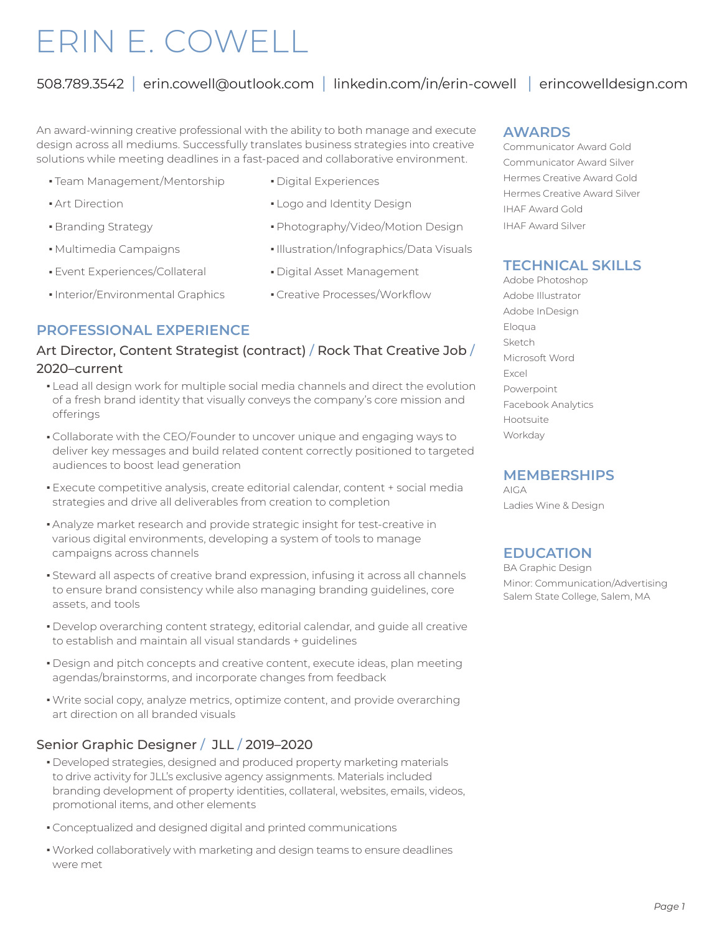# ERIN E. COWELL

# 508.789.3542 | erin.cowell@outlook.com | linkedin.com/in/erin-cowell | erincowelldesign.com

An award-winning creative professional with the ability to both manage and execute design across all mediums. Successfully translates business strategies into creative solutions while meeting deadlines in a fast-paced and collaborative environment.

- Team Management/Mentorship Digital Experiences
- 
- 
- 
- Event Experiences/Collateral Digital Asset Management
- Interior/Environmental Graphics Creative Processes/Workflow
- 
- Art Direction **and Logo and Identity Design**
- Branding Strategy **n Photography/Video/Motion Design**
- Multimedia Campaigns **n Illustration/Infographics/Data Visuals** 
	-
	-

### **PROFESSIONAL EXPERIENCE**

#### Art Director, Content Strategist (contract) / Rock That Creative Job / 2020–current

- Lead all design work for multiple social media channels and direct the evolution of a fresh brand identity that visually conveys the company's core mission and offerings
- Collaborate with the CEO/Founder to uncover unique and engaging ways to deliver key messages and build related content correctly positioned to targeted audiences to boost lead generation
- <sup>n</sup> Execute competitive analysis, create editorial calendar, content + social media strategies and drive all deliverables from creation to completion
- Analyze market research and provide strategic insight for test-creative in various digital environments, developing a system of tools to manage campaigns across channels
- <sup>n</sup> Steward all aspects of creative brand expression, infusing it across all channels to ensure brand consistency while also managing branding guidelines, core assets, and tools
- Develop overarching content strategy, editorial calendar, and guide all creative to establish and maintain all visual standards + guidelines
- Design and pitch concepts and creative content, execute ideas, plan meeting agendas/brainstorms, and incorporate changes from feedback
- Write social copy, analyze metrics, optimize content, and provide overarching art direction on all branded visuals

### Senior Graphic Designer / JLL / 2019–2020

- Developed strategies, designed and produced property marketing materials to drive activity for JLL's exclusive agency assignments. Materials included branding development of property identities, collateral, websites, emails, videos, promotional items, and other elements
- Conceptualized and designed digital and printed communications
- . Worked collaboratively with marketing and design teams to ensure deadlines were met

#### **AWARDS**

Communicator Award Gold Communicator Award Silver Hermes Creative Award Gold Hermes Creative Award Silver IHAF Award Gold IHAF Award Silver

## **TECHNICAL SKILLS**

Adobe Photoshop Adobe Illustrator Adobe InDesign Eloqua Sketch Microsoft Word Excel Powerpoint Facebook Analytics Hootsuite Workday

#### **MEMBERSHIPS**

AIGA Ladies Wine & Design

## **EDUCATION**

BA Graphic Design Minor: Communication/Advertising Salem State College, Salem, MA